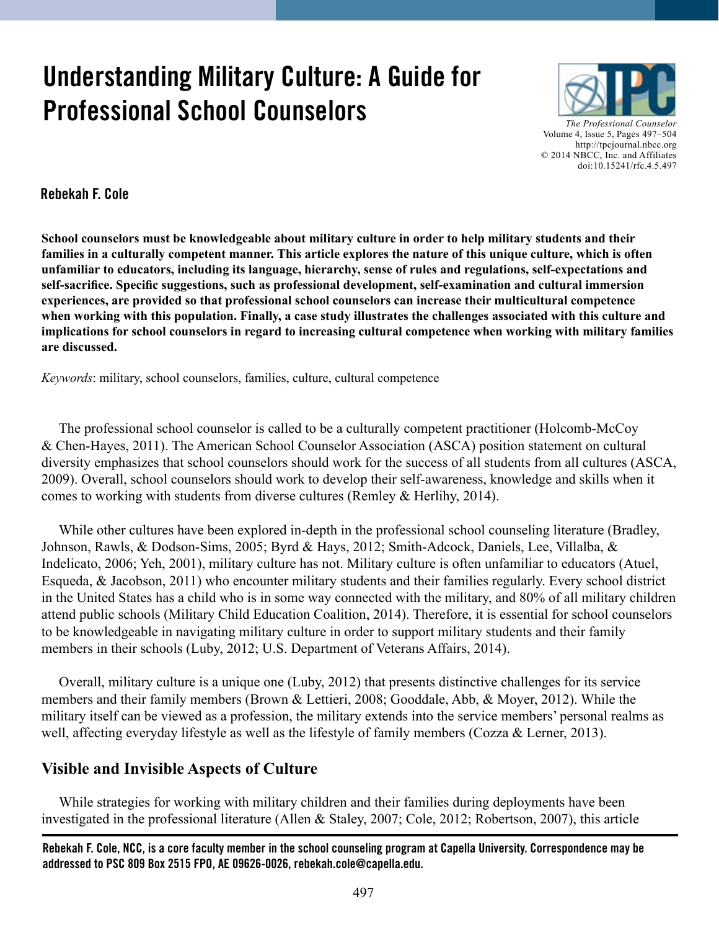# **Understanding Military Culture: A Guide for Professional School Counselors**



*The Professional Counselor*  Volume 4, Issue 5, Pages 497–504 http://tpcjournal.nbcc.org © 2014 NBCC, Inc. and Affiliates doi:10.15241/rfc.4.5.497

**Rebekah F. Cole**

**School counselors must be knowledgeable about military culture in order to help military students and their families in a culturally competent manner. This article explores the nature of this unique culture, which is often unfamiliar to educators, including its language, hierarchy, sense of rules and regulations, self-expectations and self-sacrifice. Specific suggestions, such as professional development, self-examination and cultural immersion experiences, are provided so that professional school counselors can increase their multicultural competence when working with this population. Finally, a case study illustrates the challenges associated with this culture and implications for school counselors in regard to increasing cultural competence when working with military families are discussed.** 

*Keywords*: military, school counselors, families, culture, cultural competence

 The professional school counselor is called to be a culturally competent practitioner (Holcomb-McCoy & Chen-Hayes, 2011). The American School Counselor Association (ASCA) position statement on cultural diversity emphasizes that school counselors should work for the success of all students from all cultures (ASCA, 2009). Overall, school counselors should work to develop their self-awareness, knowledge and skills when it comes to working with students from diverse cultures (Remley & Herlihy, 2014).

 While other cultures have been explored in-depth in the professional school counseling literature (Bradley, Johnson, Rawls, & Dodson-Sims, 2005; Byrd & Hays, 2012; Smith-Adcock, Daniels, Lee, Villalba, & Indelicato, 2006; Yeh, 2001), military culture has not. Military culture is often unfamiliar to educators (Atuel, Esqueda, & Jacobson, 2011) who encounter military students and their families regularly. Every school district in the United States has a child who is in some way connected with the military, and 80% of all military children attend public schools (Military Child Education Coalition, 2014). Therefore, it is essential for school counselors to be knowledgeable in navigating military culture in order to support military students and their family members in their schools (Luby, 2012; U.S. Department of Veterans Affairs, 2014).

 Overall, military culture is a unique one (Luby, 2012) that presents distinctive challenges for its service members and their family members (Brown & Lettieri, 2008; Gooddale, Abb, & Moyer, 2012). While the military itself can be viewed as a profession, the military extends into the service members' personal realms as well, affecting everyday lifestyle as well as the lifestyle of family members (Cozza & Lerner, 2013).

# **Visible and Invisible Aspects of Culture**

While strategies for working with military children and their families during deployments have been investigated in the professional literature (Allen & Staley, 2007; Cole, 2012; Robertson, 2007), this article

**Rebekah F. Cole, NCC, is a core faculty member in the school counseling program at Capella University. Correspondence may be addressed to PSC 809 Box 2515 FPO, AE 09626-0026, rebekah.cole@capella.edu.**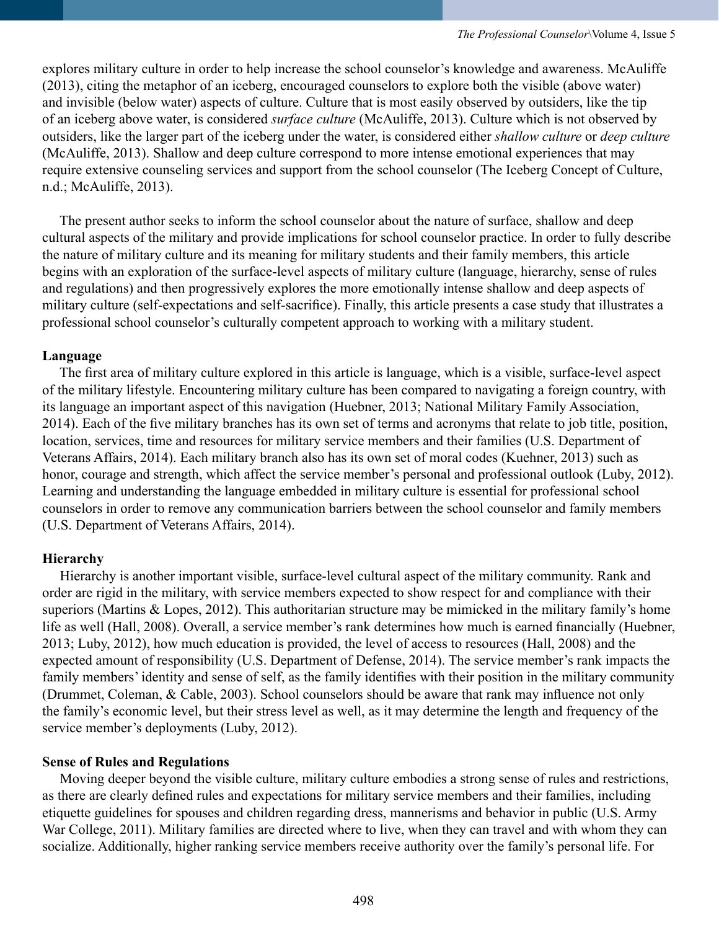explores military culture in order to help increase the school counselor's knowledge and awareness. McAuliffe (2013), citing the metaphor of an iceberg, encouraged counselors to explore both the visible (above water) and invisible (below water) aspects of culture. Culture that is most easily observed by outsiders, like the tip of an iceberg above water, is considered *surface culture* (McAuliffe, 2013). Culture which is not observed by outsiders, like the larger part of the iceberg under the water, is considered either *shallow culture* or *deep culture* (McAuliffe, 2013). Shallow and deep culture correspond to more intense emotional experiences that may require extensive counseling services and support from the school counselor (The Iceberg Concept of Culture, n.d.; McAuliffe, 2013).

 The present author seeks to inform the school counselor about the nature of surface, shallow and deep cultural aspects of the military and provide implications for school counselor practice. In order to fully describe the nature of military culture and its meaning for military students and their family members, this article begins with an exploration of the surface-level aspects of military culture (language, hierarchy, sense of rules and regulations) and then progressively explores the more emotionally intense shallow and deep aspects of military culture (self-expectations and self-sacrifice). Finally, this article presents a case study that illustrates a professional school counselor's culturally competent approach to working with a military student.

## **Language**

 The first area of military culture explored in this article is language, which is a visible, surface-level aspect of the military lifestyle. Encountering military culture has been compared to navigating a foreign country, with its language an important aspect of this navigation (Huebner, 2013; National Military Family Association, 2014). Each of the five military branches has its own set of terms and acronyms that relate to job title, position, location, services, time and resources for military service members and their families (U.S. Department of Veterans Affairs, 2014). Each military branch also has its own set of moral codes (Kuehner, 2013) such as honor, courage and strength, which affect the service member's personal and professional outlook (Luby, 2012). Learning and understanding the language embedded in military culture is essential for professional school counselors in order to remove any communication barriers between the school counselor and family members (U.S. Department of Veterans Affairs, 2014).

## **Hierarchy**

 Hierarchy is another important visible, surface-level cultural aspect of the military community. Rank and order are rigid in the military, with service members expected to show respect for and compliance with their superiors (Martins & Lopes, 2012). This authoritarian structure may be mimicked in the military family's home life as well (Hall, 2008). Overall, a service member's rank determines how much is earned financially (Huebner, 2013; Luby, 2012), how much education is provided, the level of access to resources (Hall, 2008) and the expected amount of responsibility (U.S. Department of Defense, 2014). The service member's rank impacts the family members' identity and sense of self, as the family identifies with their position in the military community (Drummet, Coleman, & Cable, 2003). School counselors should be aware that rank may influence not only the family's economic level, but their stress level as well, as it may determine the length and frequency of the service member's deployments (Luby, 2012).

## **Sense of Rules and Regulations**

Moving deeper beyond the visible culture, military culture embodies a strong sense of rules and restrictions, as there are clearly defined rules and expectations for military service members and their families, including etiquette guidelines for spouses and children regarding dress, mannerisms and behavior in public (U.S. Army War College, 2011). Military families are directed where to live, when they can travel and with whom they can socialize. Additionally, higher ranking service members receive authority over the family's personal life. For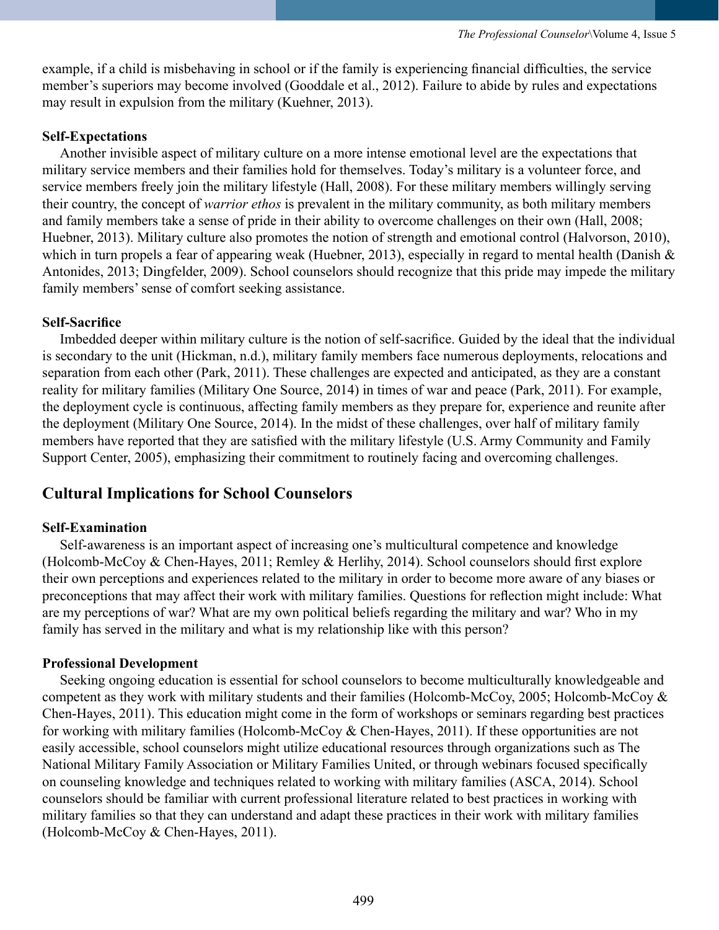example, if a child is misbehaving in school or if the family is experiencing financial difficulties, the service member's superiors may become involved (Gooddale et al., 2012). Failure to abide by rules and expectations may result in expulsion from the military (Kuehner, 2013).

## **Self-Expectations**

Another invisible aspect of military culture on a more intense emotional level are the expectations that military service members and their families hold for themselves. Today's military is a volunteer force, and service members freely join the military lifestyle (Hall, 2008). For these military members willingly serving their country, the concept of *warrior ethos* is prevalent in the military community, as both military members and family members take a sense of pride in their ability to overcome challenges on their own (Hall, 2008; Huebner, 2013). Military culture also promotes the notion of strength and emotional control (Halvorson, 2010), which in turn propels a fear of appearing weak (Huebner, 2013), especially in regard to mental health (Danish & Antonides, 2013; Dingfelder, 2009). School counselors should recognize that this pride may impede the military family members' sense of comfort seeking assistance.

## **Self-Sacrifice**

Imbedded deeper within military culture is the notion of self-sacrifice. Guided by the ideal that the individual is secondary to the unit (Hickman, n.d.), military family members face numerous deployments, relocations and separation from each other (Park, 2011). These challenges are expected and anticipated, as they are a constant reality for military families (Military One Source, 2014) in times of war and peace (Park, 2011). For example, the deployment cycle is continuous, affecting family members as they prepare for, experience and reunite after the deployment (Military One Source, 2014). In the midst of these challenges, over half of military family members have reported that they are satisfied with the military lifestyle (U.S. Army Community and Family Support Center, 2005), emphasizing their commitment to routinely facing and overcoming challenges.

# **Cultural Implications for School Counselors**

## **Self-Examination**

Self-awareness is an important aspect of increasing one's multicultural competence and knowledge (Holcomb-McCoy & Chen-Hayes, 2011; Remley & Herlihy, 2014). School counselors should first explore their own perceptions and experiences related to the military in order to become more aware of any biases or preconceptions that may affect their work with military families. Questions for reflection might include: What are my perceptions of war? What are my own political beliefs regarding the military and war? Who in my family has served in the military and what is my relationship like with this person?

## **Professional Development**

Seeking ongoing education is essential for school counselors to become multiculturally knowledgeable and competent as they work with military students and their families (Holcomb-McCoy, 2005; Holcomb-McCoy & Chen-Hayes, 2011). This education might come in the form of workshops or seminars regarding best practices for working with military families (Holcomb-McCoy & Chen-Hayes, 2011). If these opportunities are not easily accessible, school counselors might utilize educational resources through organizations such as The National Military Family Association or Military Families United, or through webinars focused specifically on counseling knowledge and techniques related to working with military families (ASCA, 2014). School counselors should be familiar with current professional literature related to best practices in working with military families so that they can understand and adapt these practices in their work with military families (Holcomb-McCoy & Chen-Hayes, 2011).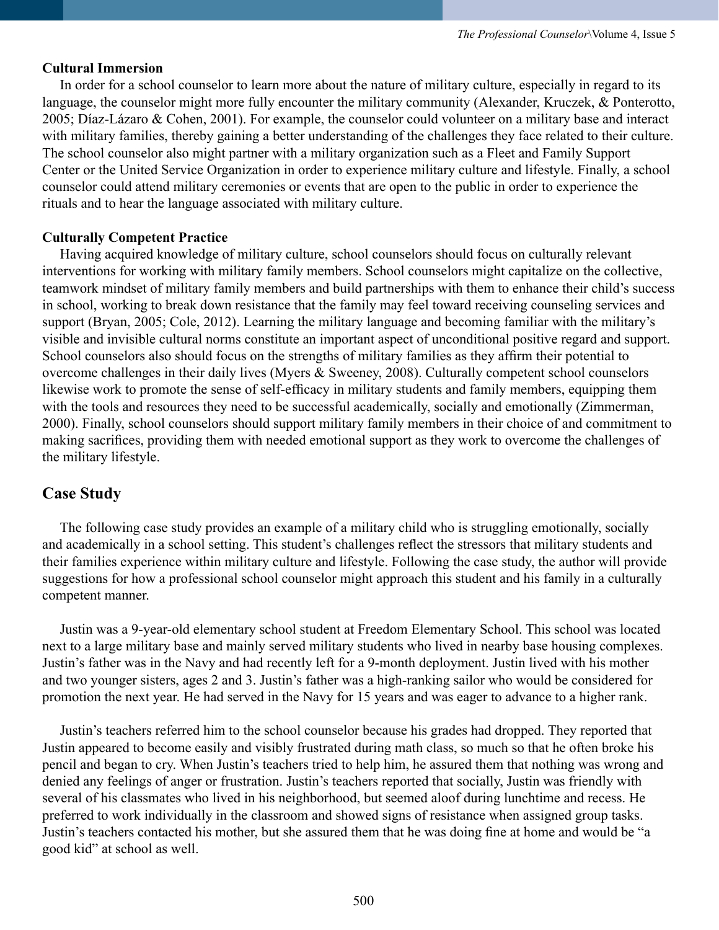## **Cultural Immersion**

In order for a school counselor to learn more about the nature of military culture, especially in regard to its language, the counselor might more fully encounter the military community (Alexander, Kruczek, & Ponterotto, 2005; Díaz-Lázaro & Cohen, 2001). For example, the counselor could volunteer on a military base and interact with military families, thereby gaining a better understanding of the challenges they face related to their culture. The school counselor also might partner with a military organization such as a Fleet and Family Support Center or the United Service Organization in order to experience military culture and lifestyle. Finally, a school counselor could attend military ceremonies or events that are open to the public in order to experience the rituals and to hear the language associated with military culture.

## **Culturally Competent Practice**

 Having acquired knowledge of military culture, school counselors should focus on culturally relevant interventions for working with military family members. School counselors might capitalize on the collective, teamwork mindset of military family members and build partnerships with them to enhance their child's success in school, working to break down resistance that the family may feel toward receiving counseling services and support (Bryan, 2005; Cole, 2012). Learning the military language and becoming familiar with the military's visible and invisible cultural norms constitute an important aspect of unconditional positive regard and support. School counselors also should focus on the strengths of military families as they affirm their potential to overcome challenges in their daily lives (Myers & Sweeney, 2008). Culturally competent school counselors likewise work to promote the sense of self-efficacy in military students and family members, equipping them with the tools and resources they need to be successful academically, socially and emotionally (Zimmerman, 2000). Finally, school counselors should support military family members in their choice of and commitment to making sacrifices, providing them with needed emotional support as they work to overcome the challenges of the military lifestyle.

# **Case Study**

The following case study provides an example of a military child who is struggling emotionally, socially and academically in a school setting. This student's challenges reflect the stressors that military students and their families experience within military culture and lifestyle. Following the case study, the author will provide suggestions for how a professional school counselor might approach this student and his family in a culturally competent manner.

Justin was a 9-year-old elementary school student at Freedom Elementary School. This school was located next to a large military base and mainly served military students who lived in nearby base housing complexes. Justin's father was in the Navy and had recently left for a 9-month deployment. Justin lived with his mother and two younger sisters, ages 2 and 3. Justin's father was a high-ranking sailor who would be considered for promotion the next year. He had served in the Navy for 15 years and was eager to advance to a higher rank.

Justin's teachers referred him to the school counselor because his grades had dropped. They reported that Justin appeared to become easily and visibly frustrated during math class, so much so that he often broke his pencil and began to cry. When Justin's teachers tried to help him, he assured them that nothing was wrong and denied any feelings of anger or frustration. Justin's teachers reported that socially, Justin was friendly with several of his classmates who lived in his neighborhood, but seemed aloof during lunchtime and recess. He preferred to work individually in the classroom and showed signs of resistance when assigned group tasks. Justin's teachers contacted his mother, but she assured them that he was doing fine at home and would be "a good kid" at school as well.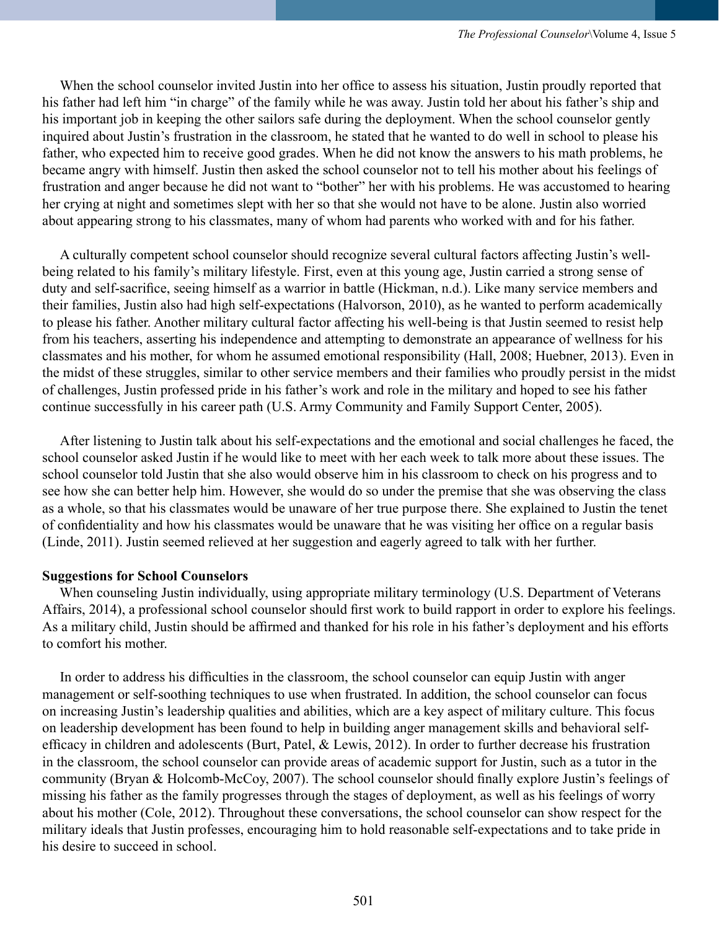When the school counselor invited Justin into her office to assess his situation, Justin proudly reported that his father had left him "in charge" of the family while he was away. Justin told her about his father's ship and his important job in keeping the other sailors safe during the deployment. When the school counselor gently inquired about Justin's frustration in the classroom, he stated that he wanted to do well in school to please his father, who expected him to receive good grades. When he did not know the answers to his math problems, he became angry with himself. Justin then asked the school counselor not to tell his mother about his feelings of frustration and anger because he did not want to "bother" her with his problems. He was accustomed to hearing her crying at night and sometimes slept with her so that she would not have to be alone. Justin also worried about appearing strong to his classmates, many of whom had parents who worked with and for his father.

A culturally competent school counselor should recognize several cultural factors affecting Justin's wellbeing related to his family's military lifestyle. First, even at this young age, Justin carried a strong sense of duty and self-sacrifice, seeing himself as a warrior in battle (Hickman, n.d.). Like many service members and their families, Justin also had high self-expectations (Halvorson, 2010), as he wanted to perform academically to please his father. Another military cultural factor affecting his well-being is that Justin seemed to resist help from his teachers, asserting his independence and attempting to demonstrate an appearance of wellness for his classmates and his mother, for whom he assumed emotional responsibility (Hall, 2008; Huebner, 2013). Even in the midst of these struggles, similar to other service members and their families who proudly persist in the midst of challenges, Justin professed pride in his father's work and role in the military and hoped to see his father continue successfully in his career path (U.S. Army Community and Family Support Center, 2005).

After listening to Justin talk about his self-expectations and the emotional and social challenges he faced, the school counselor asked Justin if he would like to meet with her each week to talk more about these issues. The school counselor told Justin that she also would observe him in his classroom to check on his progress and to see how she can better help him. However, she would do so under the premise that she was observing the class as a whole, so that his classmates would be unaware of her true purpose there. She explained to Justin the tenet of confidentiality and how his classmates would be unaware that he was visiting her office on a regular basis (Linde, 2011). Justin seemed relieved at her suggestion and eagerly agreed to talk with her further.

## **Suggestions for School Counselors**

 When counseling Justin individually, using appropriate military terminology (U.S. Department of Veterans Affairs, 2014), a professional school counselor should first work to build rapport in order to explore his feelings. As a military child, Justin should be affirmed and thanked for his role in his father's deployment and his efforts to comfort his mother.

In order to address his difficulties in the classroom, the school counselor can equip Justin with anger management or self-soothing techniques to use when frustrated. In addition, the school counselor can focus on increasing Justin's leadership qualities and abilities, which are a key aspect of military culture. This focus on leadership development has been found to help in building anger management skills and behavioral selfefficacy in children and adolescents (Burt, Patel, & Lewis, 2012). In order to further decrease his frustration in the classroom, the school counselor can provide areas of academic support for Justin, such as a tutor in the community (Bryan & Holcomb-McCoy, 2007). The school counselor should finally explore Justin's feelings of missing his father as the family progresses through the stages of deployment, as well as his feelings of worry about his mother (Cole, 2012). Throughout these conversations, the school counselor can show respect for the military ideals that Justin professes, encouraging him to hold reasonable self-expectations and to take pride in his desire to succeed in school.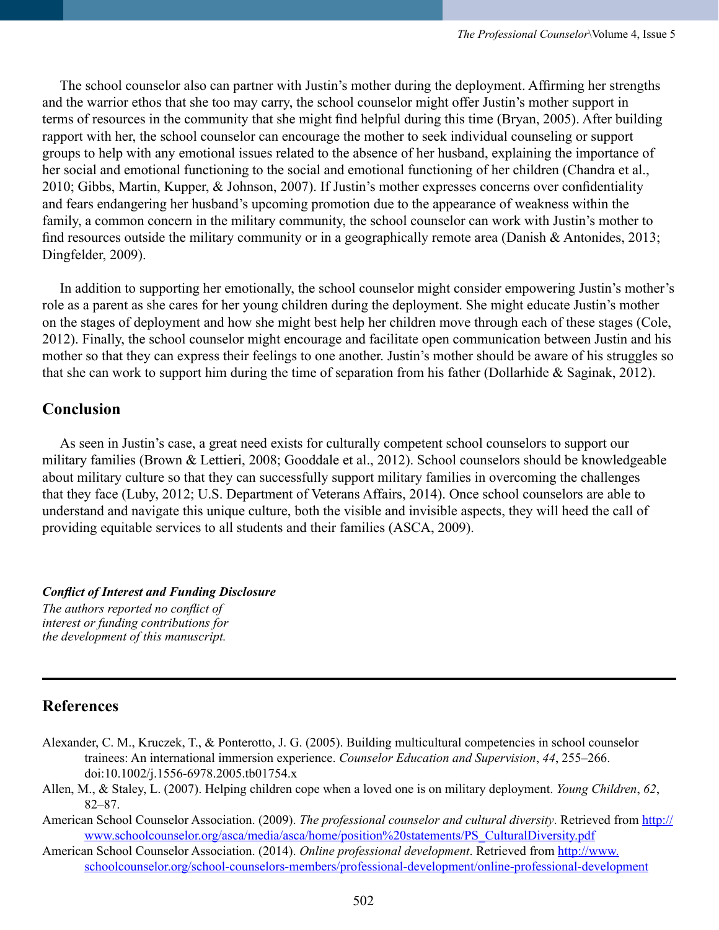The school counselor also can partner with Justin's mother during the deployment. Affirming her strengths and the warrior ethos that she too may carry, the school counselor might offer Justin's mother support in terms of resources in the community that she might find helpful during this time (Bryan, 2005). After building rapport with her, the school counselor can encourage the mother to seek individual counseling or support groups to help with any emotional issues related to the absence of her husband, explaining the importance of her social and emotional functioning to the social and emotional functioning of her children (Chandra et al., 2010; Gibbs, Martin, Kupper, & Johnson, 2007). If Justin's mother expresses concerns over confidentiality and fears endangering her husband's upcoming promotion due to the appearance of weakness within the family, a common concern in the military community, the school counselor can work with Justin's mother to find resources outside the military community or in a geographically remote area (Danish & Antonides, 2013; Dingfelder, 2009).

In addition to supporting her emotionally, the school counselor might consider empowering Justin's mother's role as a parent as she cares for her young children during the deployment. She might educate Justin's mother on the stages of deployment and how she might best help her children move through each of these stages (Cole, 2012). Finally, the school counselor might encourage and facilitate open communication between Justin and his mother so that they can express their feelings to one another. Justin's mother should be aware of his struggles so that she can work to support him during the time of separation from his father (Dollarhide & Saginak, 2012).

# **Conclusion**

As seen in Justin's case, a great need exists for culturally competent school counselors to support our military families (Brown & Lettieri, 2008; Gooddale et al., 2012). School counselors should be knowledgeable about military culture so that they can successfully support military families in overcoming the challenges that they face (Luby, 2012; U.S. Department of Veterans Affairs, 2014). Once school counselors are able to understand and navigate this unique culture, both the visible and invisible aspects, they will heed the call of providing equitable services to all students and their families (ASCA, 2009).

*Conflict of Interest and Funding Disclosure The authors reported no conflict of interest or funding contributions for the development of this manuscript.*

# **References**

- Alexander, C. M., Kruczek, T., & Ponterotto, J. G. (2005). Building multicultural competencies in school counselor trainees: An international immersion experience. *Counselor Education and Supervision*, *44*, 255–266. doi:10.1002/j.1556-6978.2005.tb01754.x
- Allen, M., & Staley, L. (2007). Helping children cope when a loved one is on military deployment. *Young Children*, *62*, 82–87.
- American School Counselor Association. (2009). *The professional counselor and cultural diversity*. Retrieved from [http://](http://www.schoolcounselor.org/asca/media/asca/home/position statements/PS_CulturalDiversity.pdf) [www.schoolcounselor.org/asca/media/asca/home/position%20statements/PS\\_CulturalDiversity.pdf](http://www.schoolcounselor.org/asca/media/asca/home/position statements/PS_CulturalDiversity.pdf)
- American School Counselor Association. (2014). *Online professional development*. Retrieved from [http://www.](http://www.schoolcounselor.org/school-counselors-members/professional-development/online-professional-development) [schoolcounselor.org/school-counselors-members/professional-development/online-professional-development](http://www.schoolcounselor.org/school-counselors-members/professional-development/online-professional-development)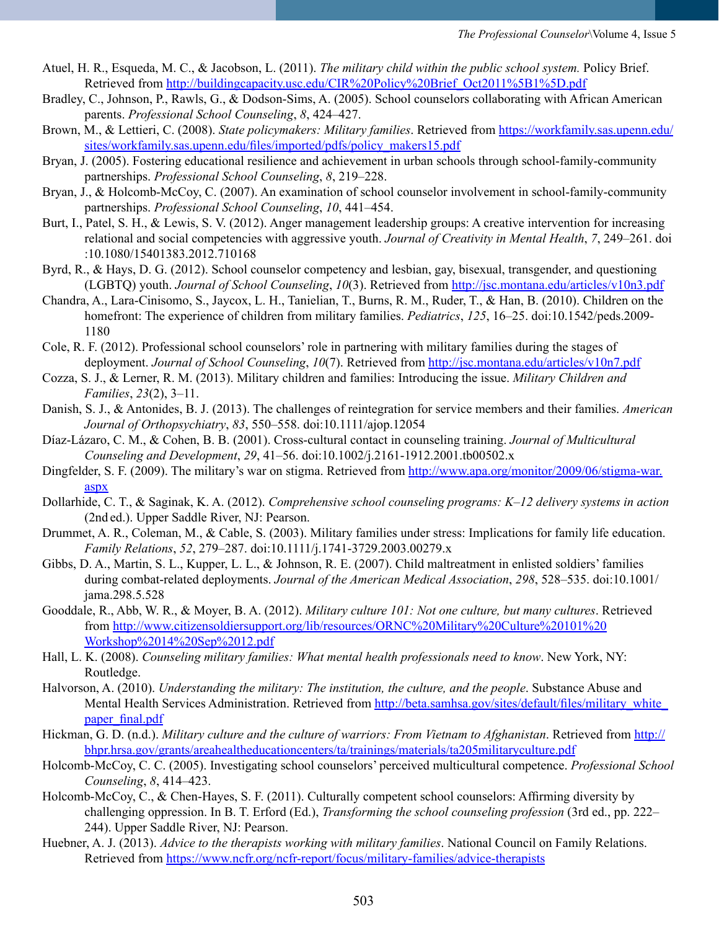- Atuel, H. R., Esqueda, M. C., & Jacobson, L. (2011). *The military child within the public school system.* Policy Brief. Retrieved from [http://buildingcapacity.usc.edu/CIR%20Policy%20Brief\\_Oct2011%5B1%5D.pdf](http://buildingcapacity.usc.edu/CIR Policy Brief_Oct2011%5B1%5D.pdf)
- Bradley, C., Johnson, P., Rawls, G., & Dodson-Sims, A. (2005). School counselors collaborating with African American parents. *Professional School Counseling*, *8*, 424–427.
- Brown, M., & Lettieri, C. (2008). *State policymakers: Military families*. Retrieved from [https://workfamily.sas.upenn.edu/](https://workfamily.sas.upenn.edu/sites/workfamily.sas.upenn.edu/files/imported/pdfs/policy_makers15.pdf) [sites/workfamily.sas.upenn.edu/files/imported/pdfs/policy\\_makers15.pdf](https://workfamily.sas.upenn.edu/sites/workfamily.sas.upenn.edu/files/imported/pdfs/policy_makers15.pdf)
- Bryan, J. (2005). Fostering educational resilience and achievement in urban schools through school-family-community partnerships. *Professional School Counseling*, *8*, 219–228.
- Bryan, J., & Holcomb-McCoy, C. (2007). An examination of school counselor involvement in school-family-community partnerships. *Professional School Counseling*, *10*, 441–454.
- Burt, I., Patel, S. H., & Lewis, S. V. (2012). Anger management leadership groups: A creative intervention for increasing relational and social competencies with aggressive youth. *Journal of Creativity in Mental Health*, *7*, 249–261. doi :10.1080/15401383.2012.710168
- Byrd, R., & Hays, D. G. (2012). School counselor competency and lesbian, gay, bisexual, transgender, and questioning (LGBTQ) youth. *Journal of School Counseling*, *10*(3). Retrieved from <http://jsc.montana.edu/articles/v10n3.pdf>
- Chandra, A., Lara-Cinisomo, S., Jaycox, L. H., Tanielian, T., Burns, R. M., Ruder, T., & Han, B. (2010). Children on the homefront: The experience of children from military families. *Pediatrics*, *125*, 16–25. doi:10.1542/peds.2009- 1180
- Cole, R. F. (2012). Professional school counselors' role in partnering with military families during the stages of deployment. *Journal of School Counseling*, *10*(7). Retrieved from <http://jsc.montana.edu/articles/v10n7.pdf>
- Cozza, S. J., & Lerner, R. M. (2013). Military children and families: Introducing the issue. *Military Children and Families*, *23*(2), 3–11.
- Danish, S. J., & Antonides, B. J. (2013). The challenges of reintegration for service members and their families. *American Journal of Orthopsychiatry*, *83*, 550–558. doi:10.1111/ajop.12054
- Díaz-Lázaro, C. M., & Cohen, B. B. (2001). Cross-cultural contact in counseling training. *Journal of Multicultural Counseling and Development*, *29*, 41–56. doi:10.1002/j.2161-1912.2001.tb00502.x
- Dingfelder, S. F. (2009). The military's war on stigma. Retrieved from [http://www.apa.org/monitor/2009/06/stigma-war.](http://www.apa.org/monitor/2009/06/stigma-war.aspx ) [aspx](http://www.apa.org/monitor/2009/06/stigma-war.aspx )
- Dollarhide, C. T., & Saginak, K. A. (2012). *Comprehensive school counseling programs: K–12 delivery systems in action*  (2nd ed.). Upper Saddle River, NJ: Pearson.
- Drummet, A. R., Coleman, M., & Cable, S. (2003). Military families under stress: Implications for family life education. *Family Relations*, *52*, 279–287. doi:10.1111/j.1741-3729.2003.00279.x
- Gibbs, D. A., Martin, S. L., Kupper, L. L., & Johnson, R. E. (2007). Child maltreatment in enlisted soldiers' families during combat-related deployments. *Journal of the American Medical Association*, *298*, 528–535. doi:10.1001/ jama.298.5.528
- Gooddale, R., Abb, W. R., & Moyer, B. A. (2012). *Military culture 101: Not one culture, but many cultures*. Retrieved from [http://www.citizensoldiersupport.org/lib/resources/ORNC%20Military%20Culture%20101%20](http://www.citizensoldiersupport.org/lib/resources/ORNC Military Culture 101 Workshop 14 Sep 12.pdf) [Workshop%2014%20Sep%2012.pdf](http://www.citizensoldiersupport.org/lib/resources/ORNC Military Culture 101 Workshop 14 Sep 12.pdf)
- Hall, L. K. (2008). *Counseling military families: What mental health professionals need to know*. New York, NY: Routledge.
- Halvorson, A. (2010). *Understanding the military: The institution, the culture, and the people*. Substance Abuse and Mental Health Services Administration. Retrieved from [http://beta.samhsa.gov/sites/default/files/military\\_white\\_](http://beta.samhsa.gov/sites/default/files/military_white_paper_final.pdf) [paper\\_final.pdf](http://beta.samhsa.gov/sites/default/files/military_white_paper_final.pdf)
- Hickman, G. D. (n.d.). *Military culture and the culture of warriors: From Vietnam to Afghanistan*. Retrieved from [http://](http://bhpr.hrsa.gov/grants/areahealtheducationcenters/ta/trainings/materials/ta205militaryculture.pdf) [bhpr.hrsa.gov/grants/areahealtheducationcenters/ta/trainings/materials/ta205militaryculture.pdf](http://bhpr.hrsa.gov/grants/areahealtheducationcenters/ta/trainings/materials/ta205militaryculture.pdf)
- Holcomb-McCoy, C. C. (2005). Investigating school counselors' perceived multicultural competence. *Professional School Counseling*, *8*, 414–423.
- Holcomb-McCoy, C., & Chen-Hayes, S. F. (2011). Culturally competent school counselors: Affirming diversity by challenging oppression. In B. T. Erford (Ed.), *Transforming the school counseling profession* (3rd ed., pp. 222– 244). Upper Saddle River, NJ: Pearson.
- Huebner, A. J. (2013). *Advice to the therapists working with military families*. National Council on Family Relations. Retrieved from <https://www.ncfr.org/ncfr-report/focus/military-families/advice-therapists>